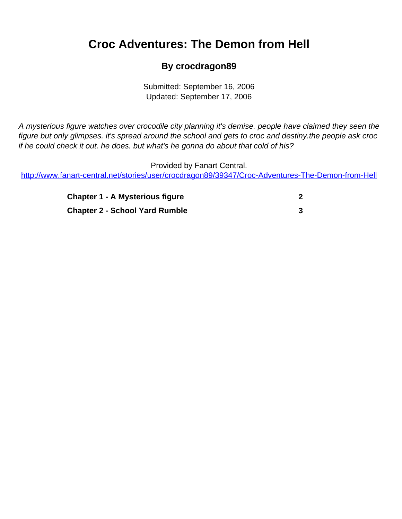## <span id="page-0-0"></span>**Croc Adventures: The Demon from Hell**

## **By crocdragon89**

Submitted: September 16, 2006 Updated: September 17, 2006

A mysterious figure watches over crocodile city planning it's demise. people have claimed they seen the figure but only glimpses. it's spread around the school and gets to croc and destiny.the people ask croc if he could check it out. he does. but what's he gonna do about that cold of his?

Provided by Fanart Central. [http://www.fanart-central.net/stories/user/crocdragon89/39347/Croc-Adventures-The-Demon-from-Hell](#page-0-0)

| <b>Chapter 1 - A Mysterious figure</b> |  |
|----------------------------------------|--|
| <b>Chapter 2 - School Yard Rumble</b>  |  |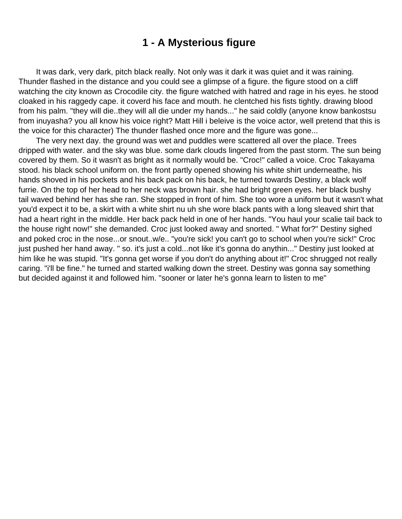## **1 - A Mysterious figure**

<span id="page-1-0"></span> It was dark, very dark, pitch black really. Not only was it dark it was quiet and it was raining. Thunder flashed in the distance and you could see a glimpse of a figure. the figure stood on a cliff watching the city known as Crocodile city. the figure watched with hatred and rage in his eyes. he stood cloaked in his raggedy cape. it coverd his face and mouth. he clentched his fists tightly. drawing blood from his palm. "they will die..they will all die under my hands..." he said coldly (anyone know bankostsu from inuyasha? you all know his voice right? Matt Hill i beleive is the voice actor, well pretend that this is the voice for this character) The thunder flashed once more and the figure was gone...

 The very next day. the ground was wet and puddles were scattered all over the place. Trees dripped with water. and the sky was blue. some dark clouds lingered from the past storm. The sun being covered by them. So it wasn't as bright as it normally would be. "Croc!" called a voice. Croc Takayama stood. his black school uniform on. the front partly opened showing his white shirt underneathe, his hands shoved in his pockets and his back pack on his back, he turned towards Destiny, a black wolf furrie. On the top of her head to her neck was brown hair. she had bright green eyes. her black bushy tail waved behind her has she ran. She stopped in front of him. She too wore a uniform but it wasn't what you'd expect it to be, a skirt with a white shirt nu uh she wore black pants with a long sleaved shirt that had a heart right in the middle. Her back pack held in one of her hands. "You haul your scalie tail back to the house right now!" she demanded. Croc just looked away and snorted. " What for?" Destiny sighed and poked croc in the nose...or snout..w/e.. "you're sick! you can't go to school when you're sick!" Croc just pushed her hand away. " so. it's just a cold...not like it's gonna do anythin..." Destiny just looked at him like he was stupid. "It's gonna get worse if you don't do anything about it!" Croc shrugged not really caring. "i'll be fine." he turned and started walking down the street. Destiny was gonna say something but decided against it and followed him. "sooner or later he's gonna learn to listen to me"